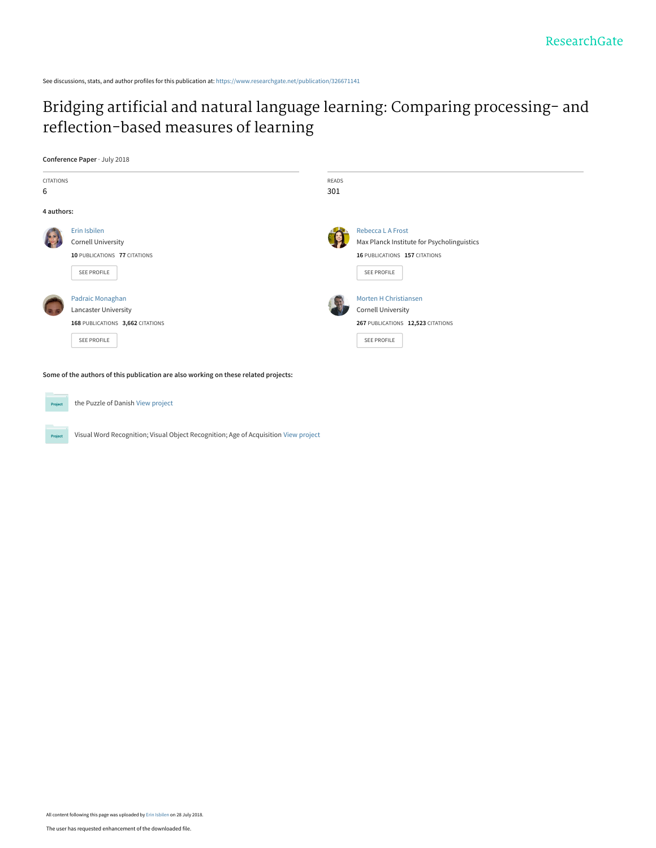See discussions, stats, and author profiles for this publication at: [https://www.researchgate.net/publication/326671141](https://www.researchgate.net/publication/326671141_Bridging_artificial_and_natural_language_learning_Comparing_processing-_and_reflection-based_measures_of_learning?enrichId=rgreq-a8c5c48a4f3e58e02fa90ce826e5b788-XXX&enrichSource=Y292ZXJQYWdlOzMyNjY3MTE0MTtBUzo2NTMzNzcwMDQ0MDA2NDBAMTUzMjc4ODYyNTMzMQ%3D%3D&el=1_x_2&_esc=publicationCoverPdf)

# [Bridging artificial and natural language learning: Comparing processing- and](https://www.researchgate.net/publication/326671141_Bridging_artificial_and_natural_language_learning_Comparing_processing-_and_reflection-based_measures_of_learning?enrichId=rgreq-a8c5c48a4f3e58e02fa90ce826e5b788-XXX&enrichSource=Y292ZXJQYWdlOzMyNjY3MTE0MTtBUzo2NTMzNzcwMDQ0MDA2NDBAMTUzMjc4ODYyNTMzMQ%3D%3D&el=1_x_3&_esc=publicationCoverPdf) reflection-based measures of learning

**Conference Paper** · July 2018



**Some of the authors of this publication are also working on these related projects:**



Project

the Puzzle of Danish [View project](https://www.researchgate.net/project/the-Puzzle-of-Danish?enrichId=rgreq-a8c5c48a4f3e58e02fa90ce826e5b788-XXX&enrichSource=Y292ZXJQYWdlOzMyNjY3MTE0MTtBUzo2NTMzNzcwMDQ0MDA2NDBAMTUzMjc4ODYyNTMzMQ%3D%3D&el=1_x_9&_esc=publicationCoverPdf)

Visual Word Recognition; Visual Object Recognition; Age of Acquisition [View project](https://www.researchgate.net/project/Visual-Word-Recognition-Visual-Object-Recognition-Age-of-Acquisition?enrichId=rgreq-a8c5c48a4f3e58e02fa90ce826e5b788-XXX&enrichSource=Y292ZXJQYWdlOzMyNjY3MTE0MTtBUzo2NTMzNzcwMDQ0MDA2NDBAMTUzMjc4ODYyNTMzMQ%3D%3D&el=1_x_9&_esc=publicationCoverPdf)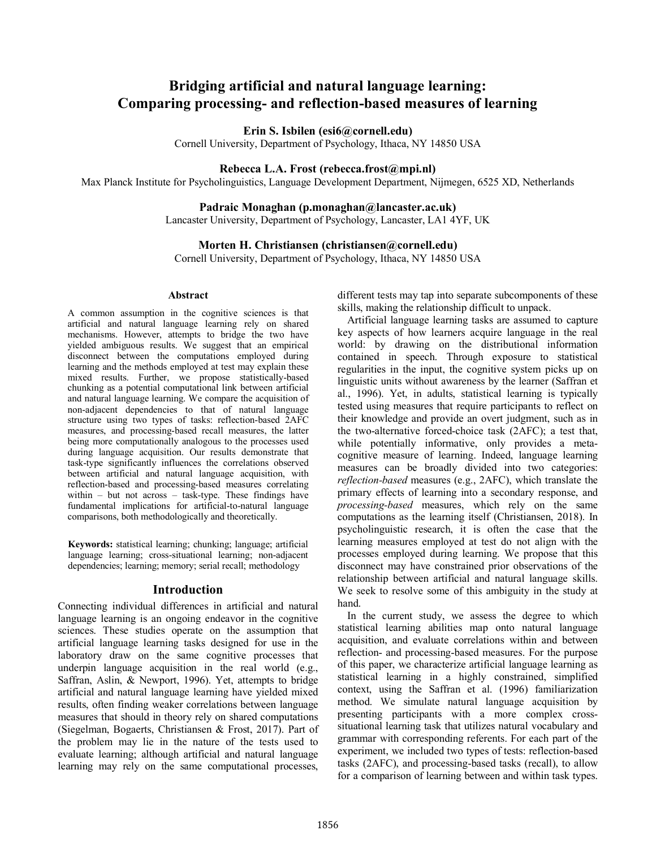# **Bridging artificial and natural language learning: Comparing processing- and reflection-based measures of learning**

**Erin S. Isbilen (esi6@cornell.edu)**

Cornell University, Department of Psychology, Ithaca, NY 14850 USA

#### **Rebecca L.A. Frost (rebecca.frost@mpi.nl)**

Max Planck Institute for Psycholinguistics, Language Development Department, Nijmegen, 6525 XD, Netherlands

### **Padraic Monaghan (p.monaghan@lancaster.ac.uk)**

Lancaster University, Department of Psychology, Lancaster, LA1 4YF, UK

#### **Morten H. Christiansen (christiansen@cornell.edu)**

Cornell University, Department of Psychology, Ithaca, NY 14850 USA

### **Abstract**

A common assumption in the cognitive sciences is that artificial and natural language learning rely on shared mechanisms. However, attempts to bridge the two have yielded ambiguous results. We suggest that an empirical disconnect between the computations employed during learning and the methods employed at test may explain these mixed results. Further, we propose statistically-based chunking as a potential computational link between artificial and natural language learning. We compare the acquisition of non-adjacent dependencies to that of natural language structure using two types of tasks: reflection-based 2AFC measures, and processing-based recall measures, the latter being more computationally analogous to the processes used during language acquisition. Our results demonstrate that task-type significantly influences the correlations observed between artificial and natural language acquisition, with reflection-based and processing-based measures correlating within – but not across – task-type. These findings have fundamental implications for artificial-to-natural language comparisons, both methodologically and theoretically.

**Keywords:** statistical learning; chunking; language; artificial language learning; cross-situational learning; non-adjacent dependencies; learning; memory; serial recall; methodology

### **Introduction**

Connecting individual differences in artificial and natural language learning is an ongoing endeavor in the cognitive sciences. These studies operate on the assumption that artificial language learning tasks designed for use in the laboratory draw on the same cognitive processes that underpin language acquisition in the real world (e.g., Saffran, Aslin, & Newport, 1996). Yet, attempts to bridge artificial and natural language learning have yielded mixed results, often finding weaker correlations between language measures that should in theory rely on shared computations (Siegelman, Bogaerts, Christiansen & Frost, 2017). Part of the problem may lie in the nature of the tests used to evaluate learning; although artificial and natural language learning may rely on the same computational processes,

different tests may tap into separate subcomponents of these skills, making the relationship difficult to unpack.

Artificial language learning tasks are assumed to capture key aspects of how learners acquire language in the real world: by drawing on the distributional information contained in speech. Through exposure to statistical regularities in the input, the cognitive system picks up on linguistic units without awareness by the learner (Saffran et al., 1996). Yet, in adults, statistical learning is typically tested using measures that require participants to reflect on their knowledge and provide an overt judgment, such as in the two-alternative forced-choice task (2AFC); a test that, while potentially informative, only provides a metacognitive measure of learning. Indeed, language learning measures can be broadly divided into two categories: *reflection-based* measures (e.g., 2AFC), which translate the primary effects of learning into a secondary response, and *processing-based* measures, which rely on the same computations as the learning itself (Christiansen, 2018). In psycholinguistic research, it is often the case that the learning measures employed at test do not align with the processes employed during learning. We propose that this disconnect may have constrained prior observations of the relationship between artificial and natural language skills. We seek to resolve some of this ambiguity in the study at hand.

In the current study, we assess the degree to which statistical learning abilities map onto natural language acquisition, and evaluate correlations within and between reflection- and processing-based measures. For the purpose of this paper, we characterize artificial language learning as statistical learning in a highly constrained, simplified context, using the Saffran et al. (1996) familiarization method. We simulate natural language acquisition by presenting participants with a more complex crosssituational learning task that utilizes natural vocabulary and grammar with corresponding referents. For each part of the experiment, we included two types of tests: reflection-based tasks (2AFC), and processing-based tasks (recall), to allow for a comparison of learning between and within task types.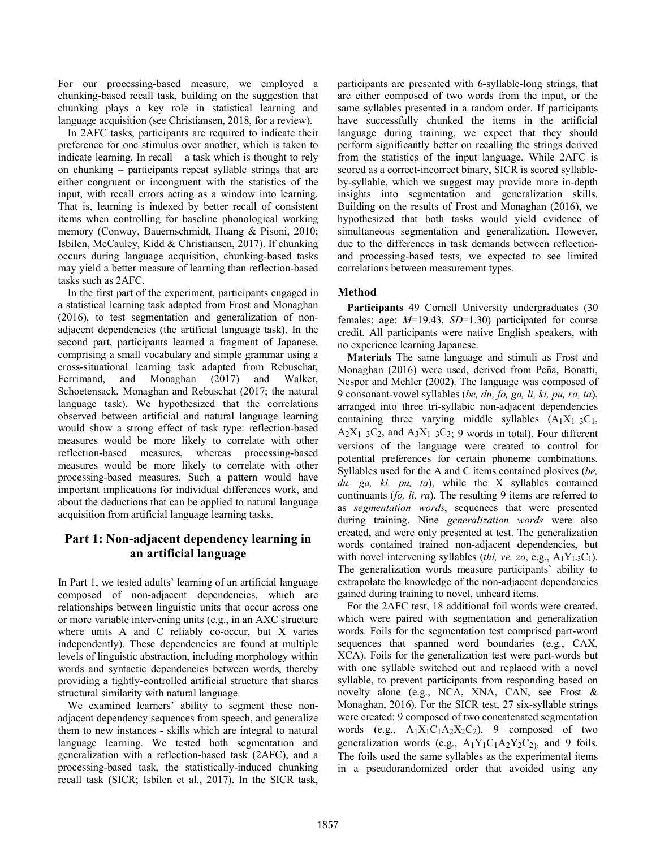For our processing-based measure, we employed a chunking-based recall task, building on the suggestion that chunking plays a key role in statistical learning and language acquisition (see Christiansen, 2018, for a review).

In 2AFC tasks, participants are required to indicate their preference for one stimulus over another, which is taken to indicate learning. In recall – a task which is thought to rely on chunking – participants repeat syllable strings that are either congruent or incongruent with the statistics of the input, with recall errors acting as a window into learning. That is, learning is indexed by better recall of consistent items when controlling for baseline phonological working memory (Conway, Bauernschmidt, Huang & Pisoni, 2010; Isbilen, McCauley, Kidd & Christiansen, 2017). If chunking occurs during language acquisition, chunking-based tasks may yield a better measure of learning than reflection-based tasks such as 2AFC.

In the first part of the experiment, participants engaged in a statistical learning task adapted from Frost and Monaghan (2016), to test segmentation and generalization of nonadjacent dependencies (the artificial language task). In the second part, participants learned a fragment of Japanese, comprising a small vocabulary and simple grammar using a cross-situational learning task adapted from Rebuschat, Ferrimand, and Monaghan (2017) and Walker, Schoetensack, Monaghan and Rebuschat (2017; the natural language task). We hypothesized that the correlations observed between artificial and natural language learning would show a strong effect of task type: reflection-based measures would be more likely to correlate with other reflection-based measures, whereas processing-based measures would be more likely to correlate with other processing-based measures. Such a pattern would have important implications for individual differences work, and about the deductions that can be applied to natural language acquisition from artificial language learning tasks.

# **Part 1: Non-adjacent dependency learning in an artificial language**

In Part 1, we tested adults' learning of an artificial language composed of non-adjacent dependencies, which are relationships between linguistic units that occur across one or more variable intervening units (e.g., in an AXC structure where units A and C reliably co-occur, but X varies independently). These dependencies are found at multiple levels of linguistic abstraction, including morphology within words and syntactic dependencies between words, thereby providing a tightly-controlled artificial structure that shares structural similarity with natural language.

We examined learners' ability to segment these nonadjacent dependency sequences from speech, and generalize them to new instances - skills which are integral to natural language learning. We tested both segmentation and generalization with a reflection-based task (2AFC), and a processing-based task, the statistically-induced chunking recall task (SICR; Isbilen et al., 2017). In the SICR task,

participants are presented with 6-syllable-long strings, that are either composed of two words from the input, or the same syllables presented in a random order. If participants have successfully chunked the items in the artificial language during training, we expect that they should perform significantly better on recalling the strings derived from the statistics of the input language. While 2AFC is scored as a correct-incorrect binary, SICR is scored syllableby-syllable, which we suggest may provide more in-depth insights into segmentation and generalization skills. Building on the results of Frost and Monaghan (2016), we hypothesized that both tasks would yield evidence of simultaneous segmentation and generalization. However, due to the differences in task demands between reflectionand processing-based tests, we expected to see limited correlations between measurement types.

## **Method**

**Participants** 49 Cornell University undergraduates (30 females; age: *M*=19.43, *SD*=1.30) participated for course credit. All participants were native English speakers, with no experience learning Japanese.

**Materials** The same language and stimuli as Frost and Monaghan (2016) were used, derived from Peña, Bonatti, Nespor and Mehler (2002). The language was composed of 9 consonant-vowel syllables (*be, du, fo, ga, li, ki, pu, ra, ta*), arranged into three tri-syllabic non-adjacent dependencies containing three varying middle syllables  $(A_1X_{1-3}C_1,$  $A_2X_{1-3}C_2$ , and  $A_3X_{1-3}C_3$ ; 9 words in total). Four different versions of the language were created to control for potential preferences for certain phoneme combinations. Syllables used for the A and C items contained plosives (*be, du, ga, ki, pu, ta*), while the X syllables contained continuants (*fo, li, ra*). The resulting 9 items are referred to as *segmentation words*, sequences that were presented during training. Nine *generalization words* were also created, and were only presented at test. The generalization words contained trained non-adjacent dependencies, but with novel intervening syllables (*thi, ve, zo*, e.g., A1Y1-3C1). The generalization words measure participants' ability to extrapolate the knowledge of the non-adjacent dependencies gained during training to novel, unheard items.

For the 2AFC test, 18 additional foil words were created, which were paired with segmentation and generalization words. Foils for the segmentation test comprised part-word sequences that spanned word boundaries (e.g., CAX, XCA). Foils for the generalization test were part-words but with one syllable switched out and replaced with a novel syllable, to prevent participants from responding based on novelty alone (e.g., NCA, XNA, CAN, see Frost & Monaghan, 2016). For the SICR test, 27 six-syllable strings were created: 9 composed of two concatenated segmentation words (e.g.,  $A_1X_1C_1A_2X_2C_2$ ), 9 composed of two generalization words (e.g.,  $A_1Y_1C_1A_2Y_2C_2$ ), and 9 foils. The foils used the same syllables as the experimental items in a pseudorandomized order that avoided using any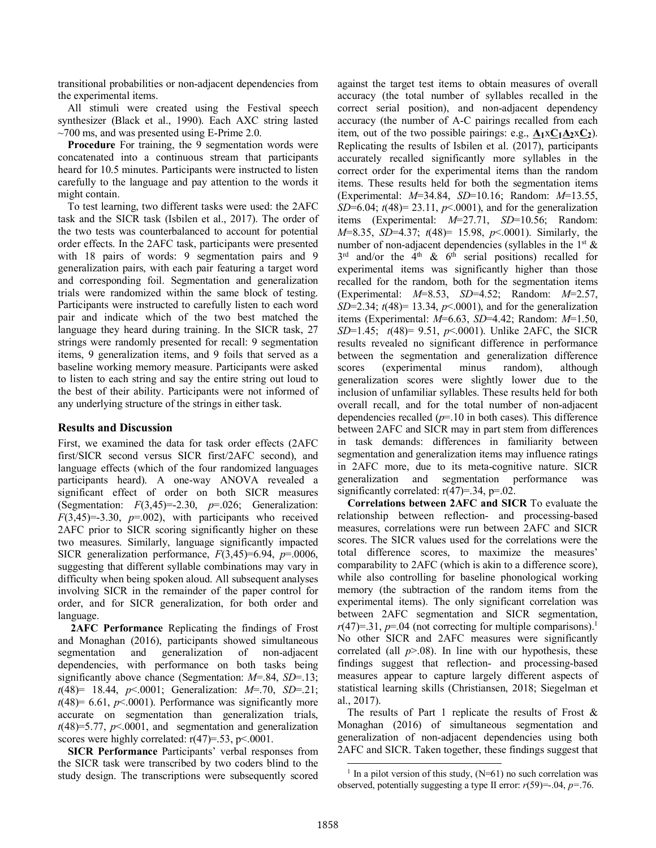transitional probabilities or non-adjacent dependencies from the experimental items.

All stimuli were created using the Festival speech synthesizer (Black et al., 1990). Each AXC string lasted  $\sim$ 700 ms, and was presented using E-Prime 2.0.

Procedure For training, the 9 segmentation words were concatenated into a continuous stream that participants heard for 10.5 minutes. Participants were instructed to listen carefully to the language and pay attention to the words it might contain.

To test learning, two different tasks were used: the 2AFC task and the SICR task (Isbilen et al., 2017). The order of the two tests was counterbalanced to account for potential order effects. In the 2AFC task, participants were presented with 18 pairs of words: 9 segmentation pairs and 9 generalization pairs, with each pair featuring a target word and corresponding foil. Segmentation and generalization trials were randomized within the same block of testing. Participants were instructed to carefully listen to each word pair and indicate which of the two best matched the language they heard during training. In the SICR task, 27 strings were randomly presented for recall: 9 segmentation items, 9 generalization items, and 9 foils that served as a baseline working memory measure. Participants were asked to listen to each string and say the entire string out loud to the best of their ability. Participants were not informed of any underlying structure of the strings in either task.

# **Results and Discussion**

First, we examined the data for task order effects (2AFC first/SICR second versus SICR first/2AFC second), and language effects (which of the four randomized languages participants heard). A one-way ANOVA revealed a significant effect of order on both SICR measures (Segmentation: *F*(3,45)=-2.30, *p*=.026; Generalization:  $F(3,45)=3.30$ ,  $p=.002$ ), with participants who received 2AFC prior to SICR scoring significantly higher on these two measures. Similarly, language significantly impacted SICR generalization performance, *F*(3,45)=6.94, *p*=.0006, suggesting that different syllable combinations may vary in difficulty when being spoken aloud. All subsequent analyses involving SICR in the remainder of the paper control for order, and for SICR generalization, for both order and language.

**2AFC Performance** Replicating the findings of Frost and Monaghan (2016), participants showed simultaneous segmentation and generalization of non-adjacent dependencies, with performance on both tasks being significantly above chance (Segmentation: *M*=.84, *SD*=.13; *t*(48)= 18.44, *p*<.0001; Generalization: *M*=.70, *SD*=.21;  $t(48)= 6.61, p<0.001$ ). Performance was significantly more accurate on segmentation than generalization trials,  $t(48)=5.77$ ,  $p<.0001$ , and segmentation and generalization scores were highly correlated:  $r(47)=.53$ ,  $p<.0001$ .

**SICR Performance** Participants' verbal responses from the SICR task were transcribed by two coders blind to the study design. The transcriptions were subsequently scored against the target test items to obtain measures of overall accuracy (the total number of syllables recalled in the correct serial position), and non-adjacent dependency accuracy (the number of A-C pairings recalled from each item, out of the two possible pairings: e.g.,  $A_1 \times C_1 A_2 \times C_2$ ). Replicating the results of Isbilen et al. (2017), participants accurately recalled significantly more syllables in the correct order for the experimental items than the random items. These results held for both the segmentation items (Experimental: *M*=34.84, *SD*=10.16; Random: *M*=13.55, *SD*=6.04; *t*(48)= 23.11, *p*<.0001), and for the generalization items (Experimental: *M*=27.71, *SD*=10.56; Random: *M*=8.35, *SD*=4.37; *t*(48)= 15.98, *p*<.0001). Similarly, the number of non-adjacent dependencies (syllables in the  $1<sup>st</sup>$  &  $3<sup>rd</sup>$  and/or the 4<sup>th</sup> & 6<sup>th</sup> serial positions) recalled for experimental items was significantly higher than those recalled for the random, both for the segmentation items (Experimental: *M*=8.53, *SD*=4.52; Random: *M*=2.57, *SD*=2.34; *t*(48)= 13.34, *p*<.0001), and for the generalization items (Experimental: *M*=6.63, *SD*=4.42; Random: *M*=1.50, *SD*=1.45; *t*(48)= 9.51, *p*<.0001). Unlike 2AFC, the SICR results revealed no significant difference in performance between the segmentation and generalization difference scores (experimental minus random), although generalization scores were slightly lower due to the inclusion of unfamiliar syllables. These results held for both overall recall, and for the total number of non-adjacent dependencies recalled (*p*=.10 in both cases). This difference between 2AFC and SICR may in part stem from differences in task demands: differences in familiarity between segmentation and generalization items may influence ratings in 2AFC more, due to its meta-cognitive nature. SICR generalization and segmentation performance was significantly correlated:  $r(47)=34$ ,  $p=.02$ .

**Correlations between 2AFC and SICR** To evaluate the relationship between reflection- and processing-based measures, correlations were run between 2AFC and SICR scores. The SICR values used for the correlations were the total difference scores, to maximize the measures' comparability to 2AFC (which is akin to a difference score), while also controlling for baseline phonological working memory (the subtraction of the random items from the experimental items). The only significant correlation was between 2AFC segmentation and SICR segmentation,  $r(47)=31$ ,  $p=.04$  (not correcting for multiple comparisons).<sup>1</sup> No other SICR and 2AFC measures were significantly correlated (all  $p > 0.08$ ). In line with our hypothesis, these findings suggest that reflection- and processing-based measures appear to capture largely different aspects of statistical learning skills (Christiansen, 2018; Siegelman et al., 2017).

The results of Part 1 replicate the results of Frost  $\&$ Monaghan (2016) of simultaneous segmentation and generalization of non-adjacent dependencies using both 2AFC and SICR. Taken together, these findings suggest that

<sup>&</sup>lt;sup>1</sup> In a pilot version of this study,  $(N=61)$  no such correlation was observed, potentially suggesting a type II error: *r*(59)=-.04, *p=*.76.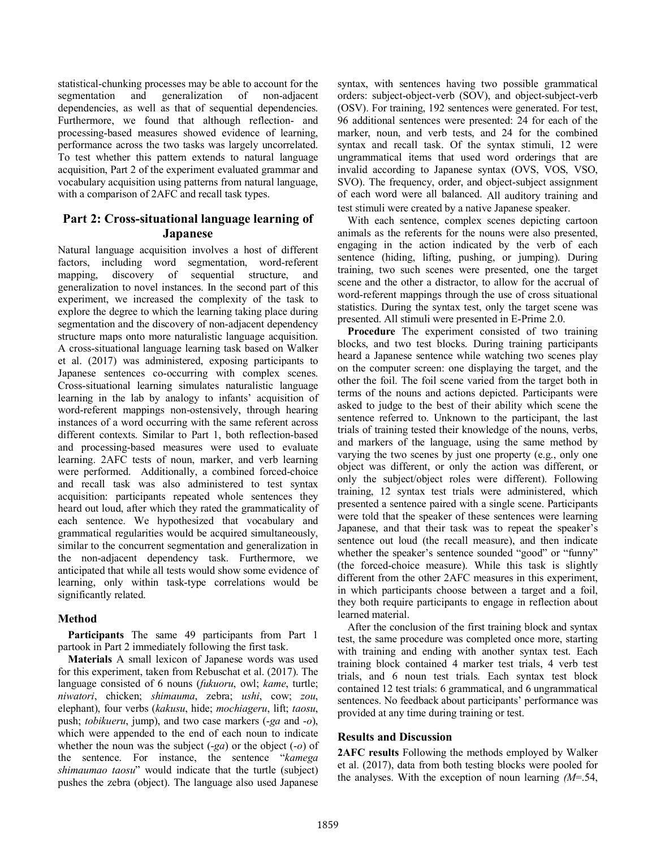statistical-chunking processes may be able to account for the segmentation and generalization of non-adjacent dependencies, as well as that of sequential dependencies. Furthermore, we found that although reflection- and processing-based measures showed evidence of learning, performance across the two tasks was largely uncorrelated. To test whether this pattern extends to natural language acquisition, Part 2 of the experiment evaluated grammar and vocabulary acquisition using patterns from natural language, with a comparison of 2AFC and recall task types.

# **Part 2: Cross-situational language learning of Japanese**

Natural language acquisition involves a host of different factors, including word segmentation, word-referent mapping, discovery of sequential structure, and generalization to novel instances. In the second part of this experiment, we increased the complexity of the task to explore the degree to which the learning taking place during segmentation and the discovery of non-adjacent dependency structure maps onto more naturalistic language acquisition. A cross-situational language learning task based on Walker et al. (2017) was administered, exposing participants to Japanese sentences co-occurring with complex scenes. Cross-situational learning simulates naturalistic language learning in the lab by analogy to infants' acquisition of word-referent mappings non-ostensively, through hearing instances of a word occurring with the same referent across different contexts. Similar to Part 1, both reflection-based and processing-based measures were used to evaluate learning. 2AFC tests of noun, marker, and verb learning were performed. Additionally, a combined forced-choice and recall task was also administered to test syntax acquisition: participants repeated whole sentences they heard out loud, after which they rated the grammaticality of each sentence. We hypothesized that vocabulary and grammatical regularities would be acquired simultaneously, similar to the concurrent segmentation and generalization in the non-adjacent dependency task. Furthermore, we anticipated that while all tests would show some evidence of learning, only within task-type correlations would be significantly related.

# **Method**

**Participants** The same 49 participants from Part 1 partook in Part 2 immediately following the first task.

**Materials** A small lexicon of Japanese words was used for this experiment, taken from Rebuschat et al. (2017). The language consisted of 6 nouns (*fukuoru*, owl; *kame*, turtle; *niwatori*, chicken; *shimauma*, zebra; *ushi*, cow; *zou*, elephant), four verbs (*kakusu*, hide; *mochiageru*, lift; *taosu*, push; *tobikueru*, jump), and two case markers (-*ga* and -*o*), which were appended to the end of each noun to indicate whether the noun was the subject (-*ga*) or the object (-*o*) of the sentence. For instance, the sentence "*kamega shimaumao taosu*" would indicate that the turtle (subject) pushes the zebra (object). The language also used Japanese

syntax, with sentences having two possible grammatical orders: subject-object-verb (SOV), and object-subject-verb (OSV). For training, 192 sentences were generated. For test, 96 additional sentences were presented: 24 for each of the marker, noun, and verb tests, and 24 for the combined syntax and recall task. Of the syntax stimuli, 12 were ungrammatical items that used word orderings that are invalid according to Japanese syntax (OVS, VOS, VSO, SVO). The frequency, order, and object-subject assignment of each word were all balanced. All auditory training and test stimuli were created by a native Japanese speaker.

With each sentence, complex scenes depicting cartoon animals as the referents for the nouns were also presented, engaging in the action indicated by the verb of each sentence (hiding, lifting, pushing, or jumping). During training, two such scenes were presented, one the target scene and the other a distractor, to allow for the accrual of word-referent mappings through the use of cross situational statistics. During the syntax test, only the target scene was presented. All stimuli were presented in E-Prime 2.0.

**Procedure** The experiment consisted of two training blocks, and two test blocks. During training participants heard a Japanese sentence while watching two scenes play on the computer screen: one displaying the target, and the other the foil. The foil scene varied from the target both in terms of the nouns and actions depicted. Participants were asked to judge to the best of their ability which scene the sentence referred to. Unknown to the participant, the last trials of training tested their knowledge of the nouns, verbs, and markers of the language, using the same method by varying the two scenes by just one property (e.g., only one object was different, or only the action was different, or only the subject/object roles were different). Following training, 12 syntax test trials were administered, which presented a sentence paired with a single scene. Participants were told that the speaker of these sentences were learning Japanese, and that their task was to repeat the speaker's sentence out loud (the recall measure), and then indicate whether the speaker's sentence sounded "good" or "funny" (the forced-choice measure). While this task is slightly different from the other 2AFC measures in this experiment, in which participants choose between a target and a foil, they both require participants to engage in reflection about learned material.

After the conclusion of the first training block and syntax test, the same procedure was completed once more, starting with training and ending with another syntax test. Each training block contained 4 marker test trials, 4 verb test trials, and 6 noun test trials. Each syntax test block contained 12 test trials: 6 grammatical, and 6 ungrammatical sentences. No feedback about participants' performance was provided at any time during training or test.

### **Results and Discussion**

**2AFC results** Following the methods employed by Walker et al. (2017), data from both testing blocks were pooled for the analyses. With the exception of noun learning *(M*=.54,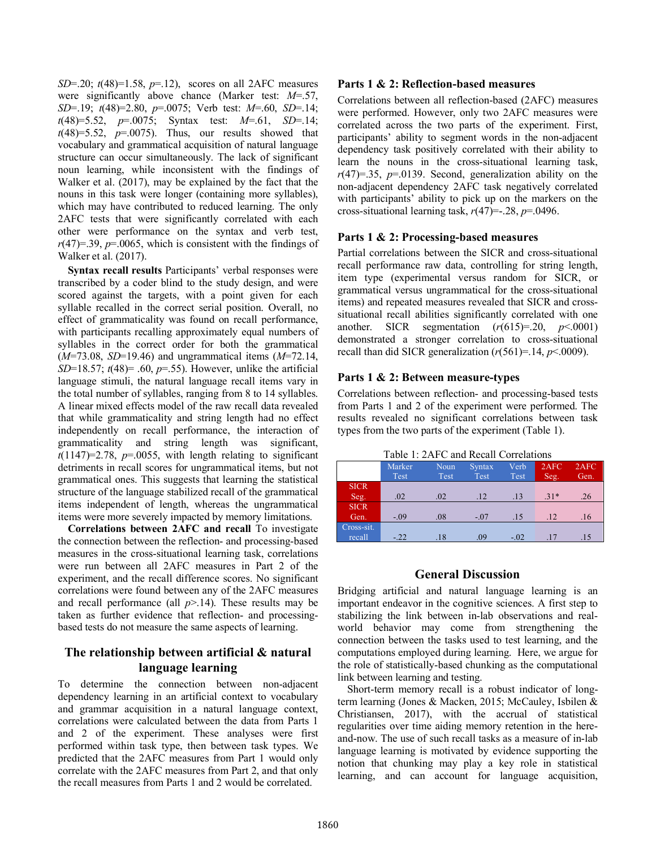*SD*=.20; *t*(48)=1.58, *p*=.12), scores on all 2AFC measures were significantly above chance (Marker test: *M*=.57, *SD*=.19; *t*(48)=2.80, *p*=.0075; Verb test: *M*=.60, *SD*=.14; *t*(48)=5.52, *p*=.0075; Syntax test: *M*=.61, *SD*=.14;  $t(48)=5.52$ ,  $p=.0075$ ). Thus, our results showed that vocabulary and grammatical acquisition of natural language structure can occur simultaneously. The lack of significant noun learning, while inconsistent with the findings of Walker et al. (2017), may be explained by the fact that the nouns in this task were longer (containing more syllables), which may have contributed to reduced learning. The only 2AFC tests that were significantly correlated with each other were performance on the syntax and verb test,  $r(47)=.39, p=.0065$ , which is consistent with the findings of Walker et al. (2017).

**Syntax recall results** Participants' verbal responses were transcribed by a coder blind to the study design, and were scored against the targets, with a point given for each syllable recalled in the correct serial position. Overall, no effect of grammaticality was found on recall performance, with participants recalling approximately equal numbers of syllables in the correct order for both the grammatical (*M*=73.08, *SD*=19.46) and ungrammatical items (*M*=72.14, *SD*=18.57; *t*(48)= .60, *p*=.55). However, unlike the artificial language stimuli, the natural language recall items vary in the total number of syllables, ranging from 8 to 14 syllables. A linear mixed effects model of the raw recall data revealed that while grammaticality and string length had no effect independently on recall performance, the interaction of grammaticality and string length was significant,  $t(1147)=2.78$ ,  $p=.0055$ , with length relating to significant detriments in recall scores for ungrammatical items, but not grammatical ones. This suggests that learning the statistical structure of the language stabilized recall of the grammatical items independent of length, whereas the ungrammatical items were more severely impacted by memory limitations.

**Correlations between 2AFC and recall** To investigate the connection between the reflection- and processing-based measures in the cross-situational learning task, correlations were run between all 2AFC measures in Part 2 of the experiment, and the recall difference scores. No significant correlations were found between any of the 2AFC measures and recall performance (all  $p$ >.14). These results may be taken as further evidence that reflection- and processingbased tests do not measure the same aspects of learning.

# **The relationship between artificial & natural language learning**

To determine the connection between non-adjacent dependency learning in an artificial context to vocabulary and grammar acquisition in a natural language context, correlations were calculated between the data from Parts 1 and 2 of the experiment. These analyses were first performed within task type, then between task types. We predicted that the 2AFC measures from Part 1 would only correlate with the 2AFC measures from Part 2, and that only the recall measures from Parts 1 and 2 would be correlated.

### **Parts 1 & 2: Reflection-based measures**

Correlations between all reflection-based (2AFC) measures were performed. However, only two 2AFC measures were correlated across the two parts of the experiment. First, participants' ability to segment words in the non-adjacent dependency task positively correlated with their ability to learn the nouns in the cross-situational learning task,  $r(47)=.35$ ,  $p=.0139$ . Second, generalization ability on the non-adjacent dependency 2AFC task negatively correlated with participants' ability to pick up on the markers on the cross-situational learning task, *r*(47)=-.28, *p*=.0496.

### **Parts 1 & 2: Processing-based measures**

Partial correlations between the SICR and cross-situational recall performance raw data, controlling for string length, item type (experimental versus random for SICR, or grammatical versus ungrammatical for the cross-situational items) and repeated measures revealed that SICR and crosssituational recall abilities significantly correlated with one another. SICR segmentation  $(r(615)=.20, p<.0001)$ demonstrated a stronger correlation to cross-situational recall than did SICR generalization (*r*(561)=.14, *p*<.0009).

### **Parts 1 & 2: Between measure-types**

Correlations between reflection- and processing-based tests from Parts 1 and 2 of the experiment were performed. The results revealed no significant correlations between task types from the two parts of the experiment (Table 1).

| Table 1: 2AFC and Recall Correlations |  |
|---------------------------------------|--|
|---------------------------------------|--|

|             | Marker | Noun | <b>Syntax</b> | Verb   | 2AFC  | 2AFC |
|-------------|--------|------|---------------|--------|-------|------|
|             | Test   | Test | Test          | Test   | Seg.  | Gen. |
| <b>SICR</b> |        |      |               |        |       |      |
| Seg.        | .02    | .02  | .12           | .13    | $31*$ | .26  |
| <b>SICR</b> |        |      |               |        |       |      |
| Gen.        | $-.09$ | .08  | $-.07$        | .15    | .12   | .16  |
| Cross-sit.  |        |      |               |        |       |      |
| recall      | $-.22$ | .18  | .09           | $-.02$ | .17   | .15  |

### **General Discussion**

Bridging artificial and natural language learning is an important endeavor in the cognitive sciences. A first step to stabilizing the link between in-lab observations and realworld behavior may come from strengthening the connection between the tasks used to test learning, and the computations employed during learning. Here, we argue for the role of statistically-based chunking as the computational link between learning and testing.

Short-term memory recall is a robust indicator of longterm learning (Jones & Macken, 2015; McCauley, Isbilen & Christiansen, 2017), with the accrual of statistical regularities over time aiding memory retention in the hereand-now. The use of such recall tasks as a measure of in-lab language learning is motivated by evidence supporting the notion that chunking may play a key role in statistical learning, and can account for language acquisition,